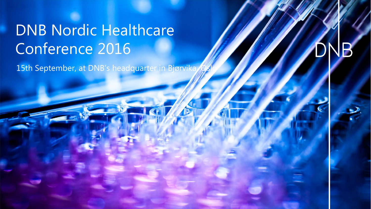## DNB Nordic Healthcare Conference 2016

15th September, at DNB's headquarter in Bjørvika

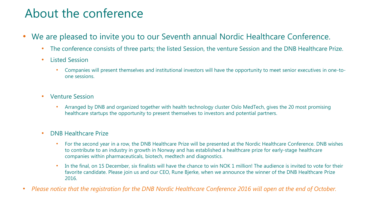### About the conference

- We are pleased to invite you to our Seventh annual Nordic Healthcare Conference.
	- The conference consists of three parts; the listed Session, the venture Session and the DNB Healthcare Prize.
	- Listed Session
		- Companies will present themselves and institutional investors will have the opportunity to meet senior executives in one-toone sessions.
	- Venture Session
		- Arranged by DNB and organized together with health technology cluster Oslo MedTech, gives the 20 most promising healthcare startups the opportunity to present themselves to investors and potential partners.
	- DNB Healthcare Prize
		- For the second year in a row, the DNB Healthcare Prize will be presented at the Nordic Healthcare Conference. DNB wishes to contribute to an industry in growth in Norway and has established a healthcare prize for early-stage healthcare companies within pharmaceuticals, biotech, medtech and diagnostics.
		- In the final, on 15 December, six finalists will have the chance to win NOK 1 million! The audience is invited to vote for their favorite candidate. Please join us and our CEO, Rune Bjerke, when we announce the winner of the DNB Healthcare Prize 2016.
- *Please notice that the registration for the DNB Nordic Healthcare Conference 2016 will open at the end of October.*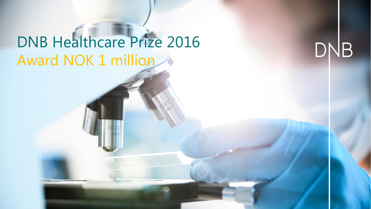# DNB Healthcare Prize 2016 Award NOK 1 million

DNB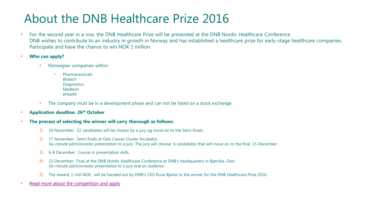### About the DNB Healthcare Prize 2016

- For the second year in a row, the DNB Healthcare Prize will be presented at the DNB Nordic Healthcare Conference. DNB wishes to contribute to an industry in growth in Norway and has established a healthcare prize for early-stage healthcare companies. Participate and have the chance to win NOK 1 million.
- **Who can apply?**
	- Norwegian companies within:
		- **Pharmaceuticals** Biotech **Diagnostics** Medtech eHealth
	- The company must be in a development phase and can not be listed on a stock exchange.
- **Application deadline: 26th October**
- **The process of selecting the winner will carry thorough as follows:**
	- 1) 10 November: 12 candidates will be chosen by a jury og move on to the Semi-finals.
	- 2) 17 November: Semi-finals at Oslo Cancer Cluster Incubator. *Six-minute pitch/investor presentation to a jury .*The jury will choose 6 candidates that will move on to the final, 15 December.
	- 3) 6-8 December: Course in presentation skills.
	- 4) 15 December: Final at the DNB Nordic Healthcare Conference at DNB's headquarters in Bjørvika, Oslo. *Six-minute pitch/investor presentation to a jury and an audience.*
	- 5) The reward, 1 mill NOK, will be handed out by DNB's CEO Rune Bjerke to the winner for the DNB Healthcare Prize 2016.
- [Read more about the competition and apply](https://www.dnb.no/healthcareprize)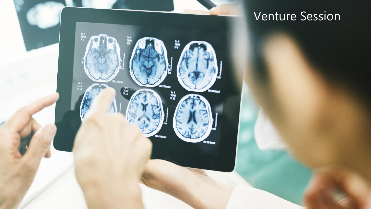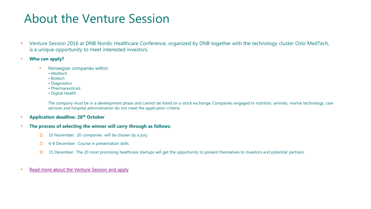#### About the Venture Session

- Venture Session 2016 at DNB Nordic Healthcare Conference, organized by DNB together with the technology cluster Oslo MedTech, is a unique opportunity to meet interested investors.
- **Who can apply?**
	- Norwegian companies within:
		- Medtech
		- Biotech
		- Diagnostics
		- Pharmaceuticals
		- Digital Health

The company must be in a development phase and cannot be listed on a stock exchange. Companies engaged in nutrition, animals, marine technology, care services and hospital administration do not meet the application criteria.

- **Application deadline: 26th October**
- **The process of selecting the winner will carry through as follows:**
	- 1) 10 November: 20 companies will be chosen by a jury.
	- 2) 6-8 December: Course in presentation skills.
	- 3) 15 December: The 20 most promising healthcare startups will get the opportunity to present themselves to investors and potential partners.
- [Read more about the Venture Session and apply](https://www.dnb.no/dnb/healthcare/conference)